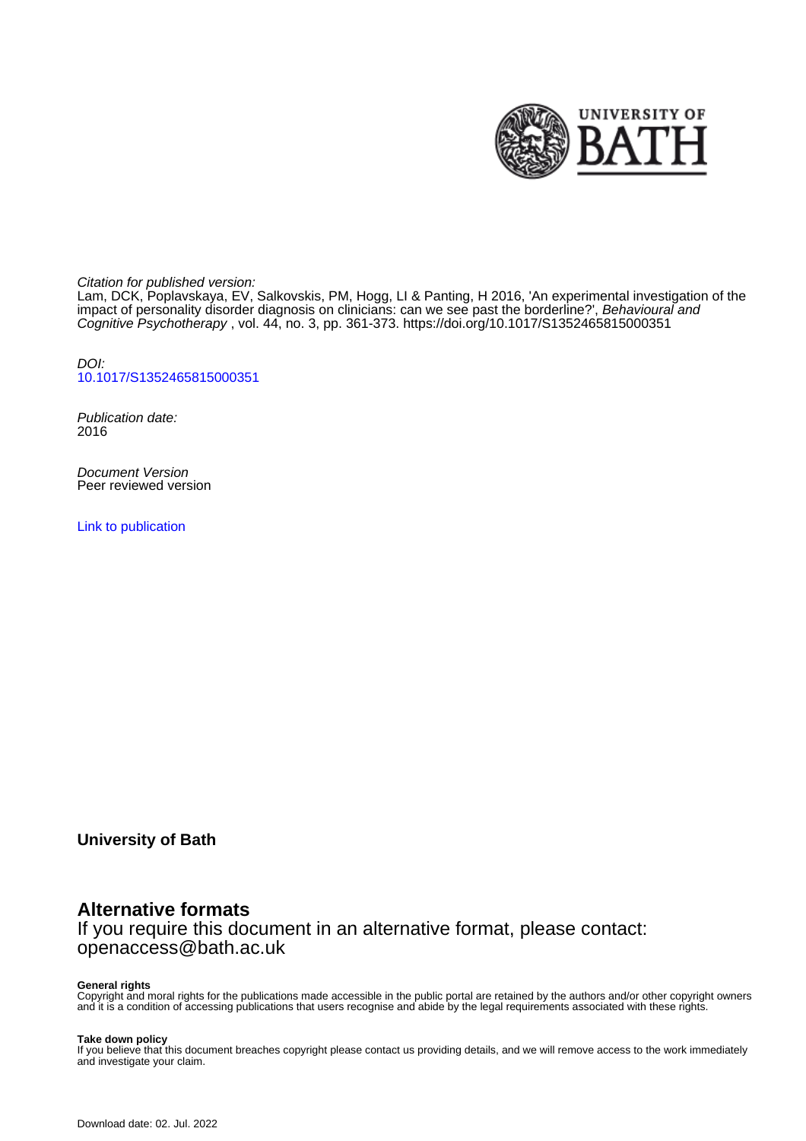

Citation for published version:

Lam, DCK, Poplavskaya, EV, Salkovskis, PM, Hogg, LI & Panting, H 2016, 'An experimental investigation of the impact of personality disorder diagnosis on clinicians: can we see past the borderline?', Behavioural and Cognitive Psychotherapy , vol. 44, no. 3, pp. 361-373. <https://doi.org/10.1017/S1352465815000351>

DOI: [10.1017/S1352465815000351](https://doi.org/10.1017/S1352465815000351)

Publication date: 2016

Document Version Peer reviewed version

[Link to publication](https://researchportal.bath.ac.uk/en/publications/an-experimental-investigation-of-the-impact-of-personality-disorder-diagnosis-on-clinicians(7e368a43-8afa-4ec1-b97a-73758b9fc4fd).html)

**University of Bath**

# **Alternative formats**

If you require this document in an alternative format, please contact: openaccess@bath.ac.uk

#### **General rights**

Copyright and moral rights for the publications made accessible in the public portal are retained by the authors and/or other copyright owners and it is a condition of accessing publications that users recognise and abide by the legal requirements associated with these rights.

#### **Take down policy**

If you believe that this document breaches copyright please contact us providing details, and we will remove access to the work immediately and investigate your claim.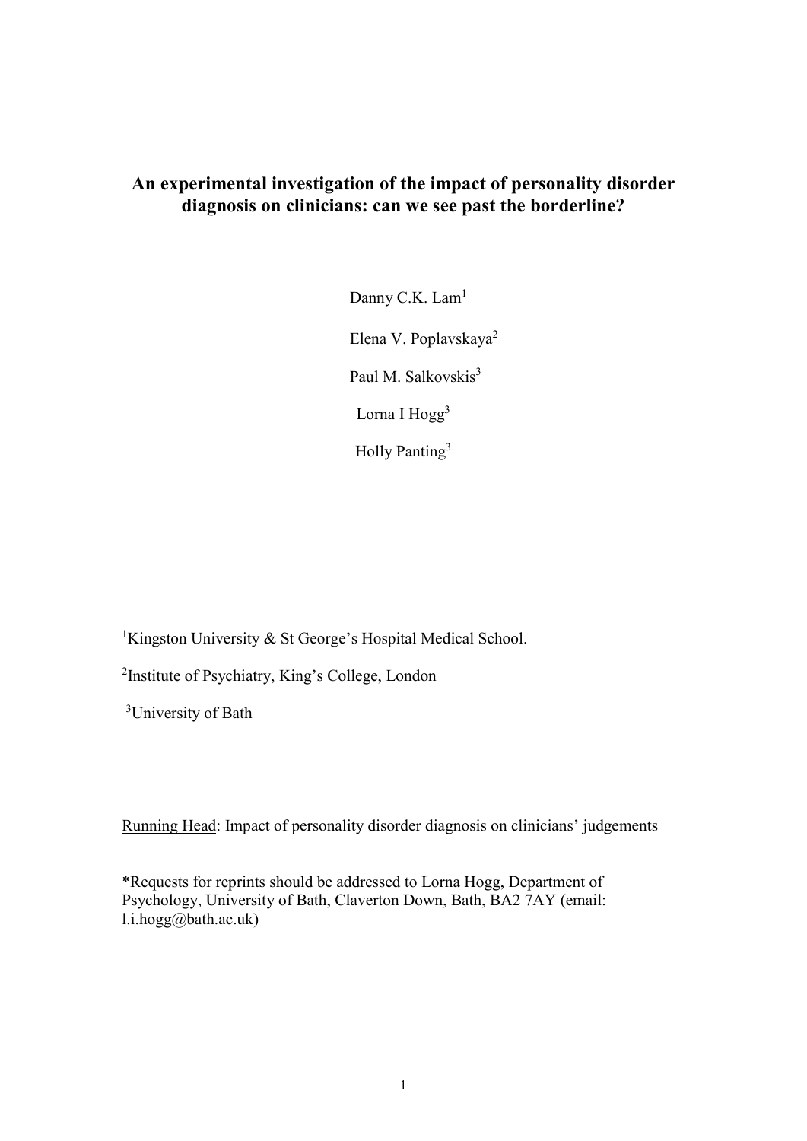# **An experimental investigation of the impact of personality disorder diagnosis on clinicians: can we see past the borderline?**

Danny C.K. Lam<sup>1</sup> Elena V. Poplavskaya<sup>2</sup> Paul M. Salkovskis<sup>3</sup> Lorna I Hogg<sup>3</sup> Holly Panting<sup>3</sup>

<sup>1</sup>Kingston University & St George's Hospital Medical School.

<sup>2</sup>Institute of Psychiatry, King's College, London

<sup>3</sup>University of Bath

Running Head: Impact of personality disorder diagnosis on clinicians' judgements

\*Requests for reprints should be addressed to Lorna Hogg, Department of Psychology, University of Bath, Claverton Down, Bath, BA2 7AY (email:  $l.i.hogg@bath.ac.uk)$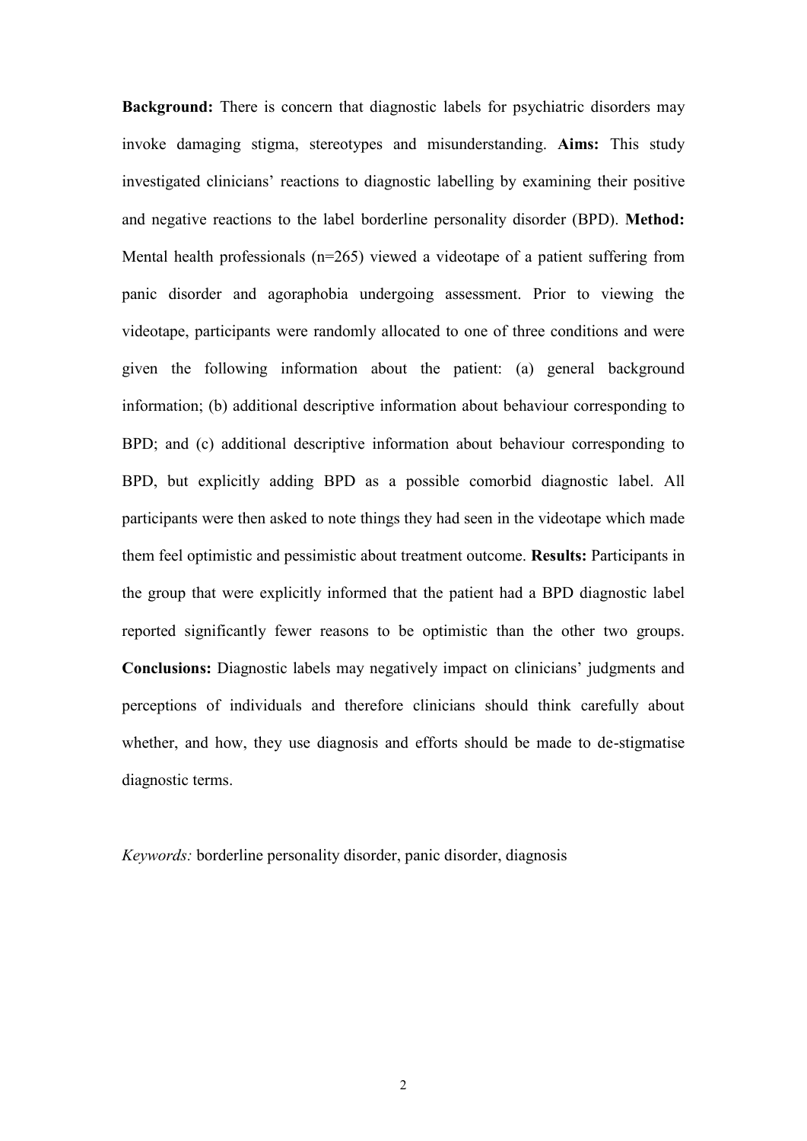**Background:** There is concern that diagnostic labels for psychiatric disorders may invoke damaging stigma, stereotypes and misunderstanding. **Aims:** This study investigated clinicians' reactions to diagnostic labelling by examining their positive and negative reactions to the label borderline personality disorder (BPD). **Method:** Mental health professionals (n=265) viewed a videotape of a patient suffering from panic disorder and agoraphobia undergoing assessment. Prior to viewing the videotape, participants were randomly allocated to one of three conditions and were given the following information about the patient: (a) general background information; (b) additional descriptive information about behaviour corresponding to BPD; and (c) additional descriptive information about behaviour corresponding to BPD, but explicitly adding BPD as a possible comorbid diagnostic label. All participants were then asked to note things they had seen in the videotape which made them feel optimistic and pessimistic about treatment outcome. **Results:** Participants in the group that were explicitly informed that the patient had a BPD diagnostic label reported significantly fewer reasons to be optimistic than the other two groups. **Conclusions:** Diagnostic labels may negatively impact on clinicians' judgments and perceptions of individuals and therefore clinicians should think carefully about whether, and how, they use diagnosis and efforts should be made to de-stigmatise diagnostic terms.

*Keywords:* borderline personality disorder, panic disorder, diagnosis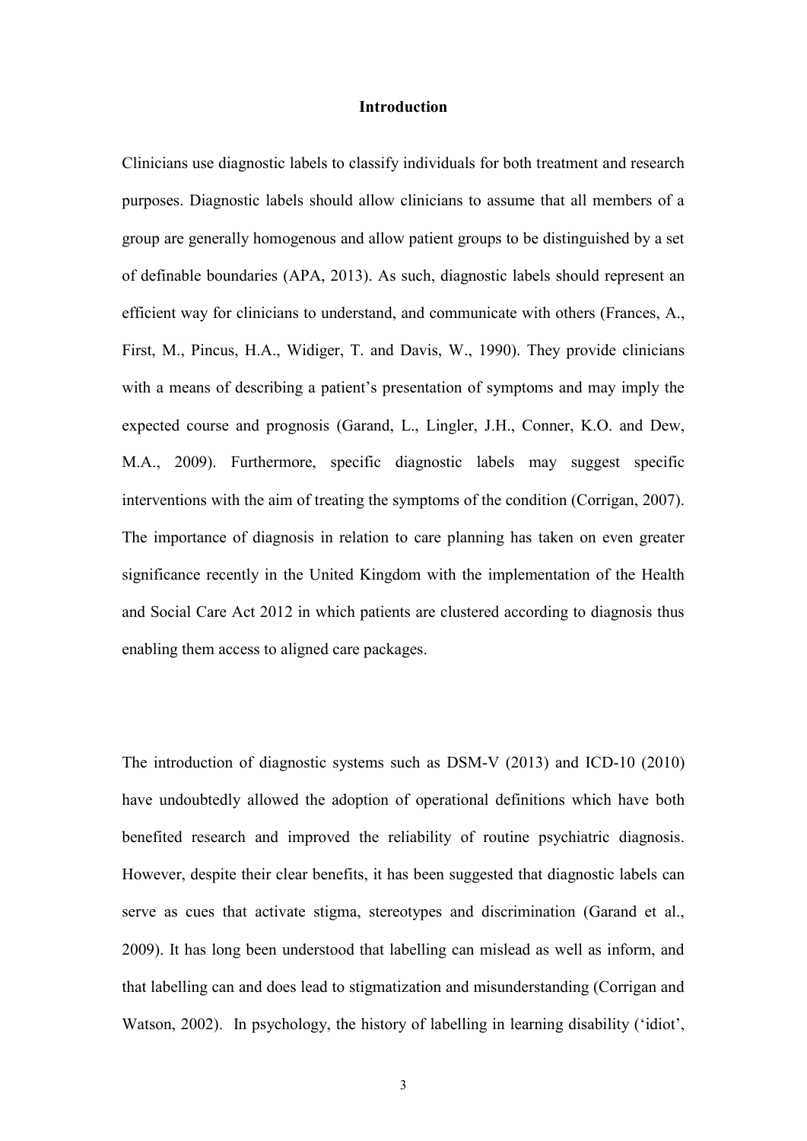#### **Introduction**

Clinicians use diagnostic labels to classify individuals for both treatment and research purposes. Diagnostic labels should allow clinicians to assume that all members of a group are generally homogenous and allow patient groups to be distinguished by a set of definable boundaries (APA, 2013). As such, diagnostic labels should represent an efficient way for clinicians to understand, and communicate with others (Frances, A., First, M., Pincus, H.A., Widiger, T. and Davis, [W., 1990\)](http://www.ncbi.nlm.nih.gov/pmc/articles/PMC2864081/#R12). They provide clinicians with a means of describing a patient's presentation of symptoms and may imply the expected course and prognosis (Garand, L., Lingler, J.H., Conner, K.O. and Dew, M.A., 2009). Furthermore, specific diagnostic labels may suggest specific interventions with the aim of treating the symptoms of the condition [\(Corrigan, 2007\)](http://www.ncbi.nlm.nih.gov/pmc/articles/PMC2864081/#R8). The importance of diagnosis in relation to care planning has taken on even greater significance recently in the United Kingdom with the implementation of the Health and Social Care Act 2012 in which patients are clustered according to diagnosis thus enabling them access to aligned care packages.

The introduction of diagnostic systems such as DSM-V (2013) and ICD-10 (2010) have undoubtedly allowed the adoption of operational definitions which have both benefited research and improved the reliability of routine psychiatric diagnosis. However, despite their clear benefits, it has been suggested that diagnostic labels can serve as cues that activate stigma, stereotypes and discrimination (Garand et al., 2009). It has long been understood that labelling can mislead as well as inform, and that labelling can and does lead to stigmatization and misunderstanding (Corrigan and Watson, 2002). In psychology, the history of labelling in learning disability ('idiot',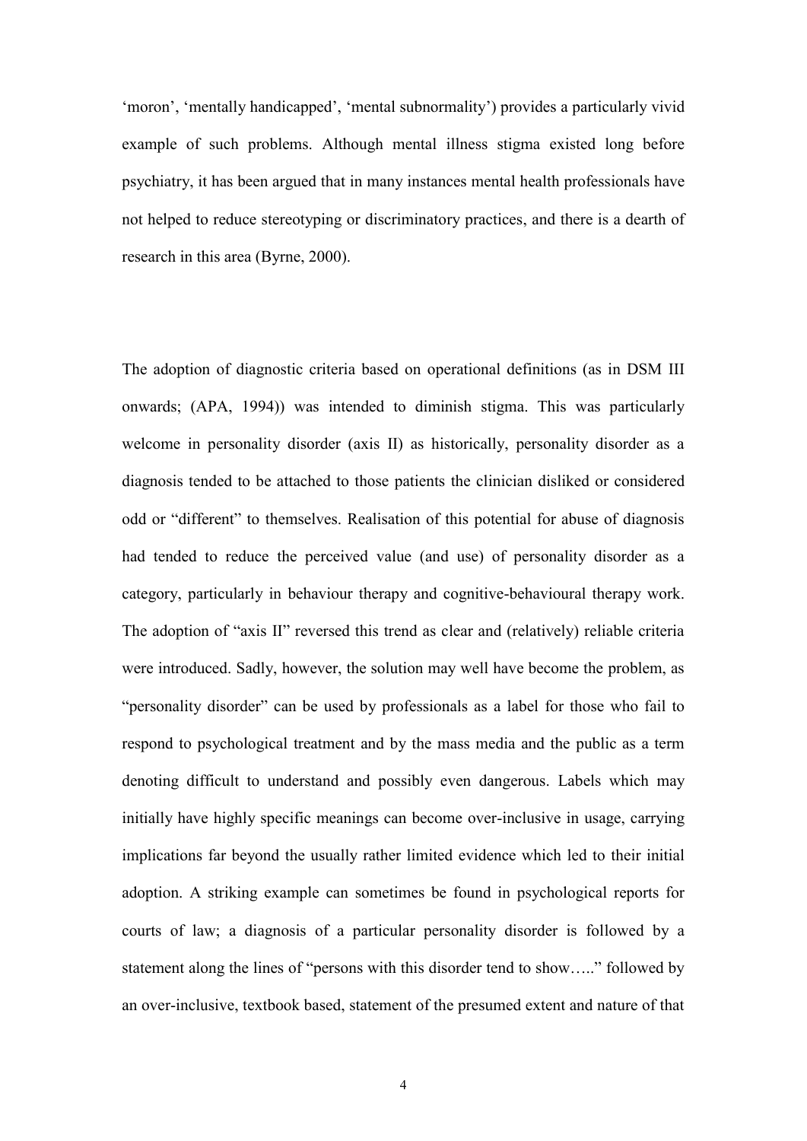'moron', 'mentally handicapped', 'mental subnormality') provides a particularly vivid example of such problems. Although mental illness stigma existed long before psychiatry, it has been argued that in many instances mental health professionals have not helped to reduce stereotyping or discriminatory practices, and there is a dearth of research in this area (Byrne, 2000).

The adoption of diagnostic criteria based on operational definitions (as in DSM III onwards; (APA, 1994)) was intended to diminish stigma. This was particularly welcome in personality disorder (axis II) as historically, personality disorder as a diagnosis tended to be attached to those patients the clinician disliked or considered odd or "different" to themselves. Realisation of this potential for abuse of diagnosis had tended to reduce the perceived value (and use) of personality disorder as a category, particularly in behaviour therapy and cognitive-behavioural therapy work. The adoption of "axis II" reversed this trend as clear and (relatively) reliable criteria were introduced. Sadly, however, the solution may well have become the problem, as "personality disorder" can be used by professionals as a label for those who fail to respond to psychological treatment and by the mass media and the public as a term denoting difficult to understand and possibly even dangerous. Labels which may initially have highly specific meanings can become over-inclusive in usage, carrying implications far beyond the usually rather limited evidence which led to their initial adoption. A striking example can sometimes be found in psychological reports for courts of law; a diagnosis of a particular personality disorder is followed by a statement along the lines of "persons with this disorder tend to show….." followed by an over-inclusive, textbook based, statement of the presumed extent and nature of that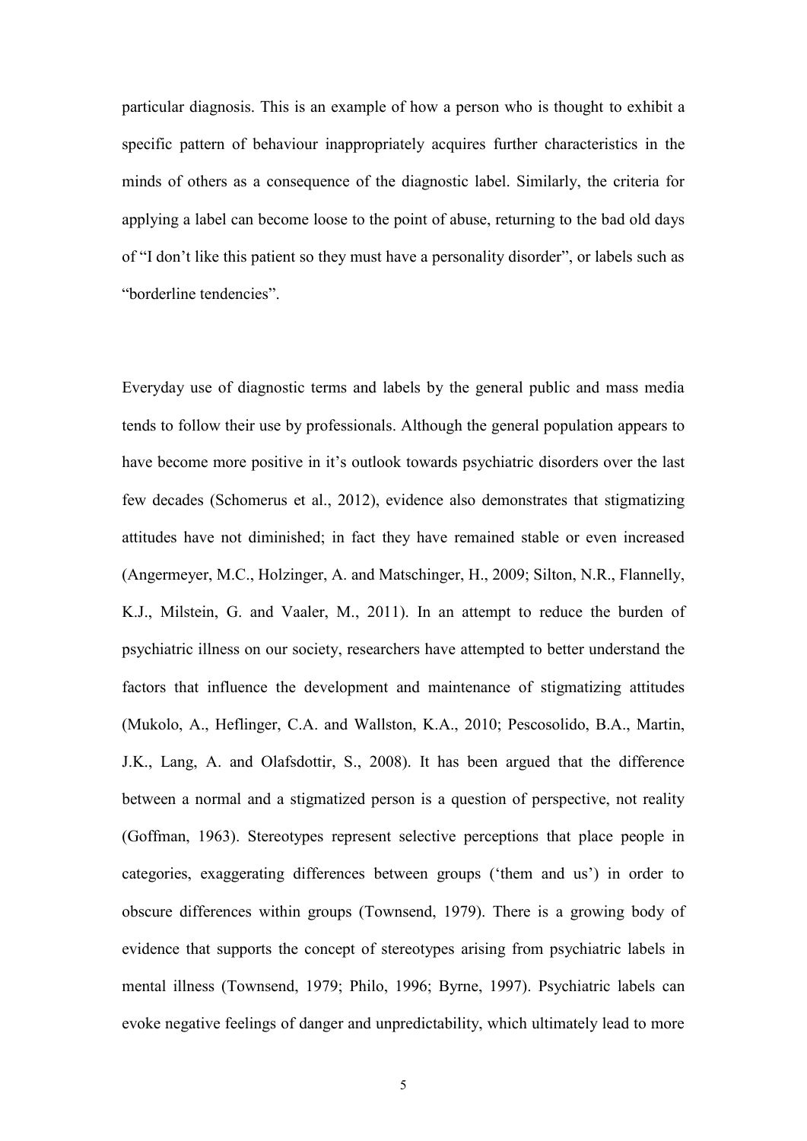particular diagnosis. This is an example of how a person who is thought to exhibit a specific pattern of behaviour inappropriately acquires further characteristics in the minds of others as a consequence of the diagnostic label. Similarly, the criteria for applying a label can become loose to the point of abuse, returning to the bad old days of "I don't like this patient so they must have a personality disorder", or labels such as "borderline tendencies".

Everyday use of diagnostic terms and labels by the general public and mass media tends to follow their use by professionals. Although the general population appears to have become more positive in it's outlook towards psychiatric disorders over the last few decades (Schomerus et al., 2012), evidence also demonstrates that stigmatizing attitudes have not diminished; in fact they have remained stable or even increased (Angermeyer, M.C., Holzinger, A. and Matschinger, H., 2009; Silton, N.R., Flannelly, K.J., Milstein, G. and Vaaler, M., 2011). In an attempt to reduce the burden of psychiatric illness on our society, researchers have attempted to better understand the factors that influence the development and maintenance of stigmatizing attitudes (Mukolo, A., Heflinger, C.A. and Wallston, K.[A., 2010;](http://www.sciencedirect.com/science/article/pii/S0165032712008488#bib33) Pescosolido, B.A., Martin, J.K., Lang, A. and Olafsdottir, [S., 2008\)](http://www.sciencedirect.com/science/article/pii/S0165032712008488#bib38). It has been argued that the difference between a normal and a stigmatized person is a question of perspective, not reality (Goffman, 1963). Stereotypes represent selective perceptions that place people in categories, exaggerating differences between groups ('them and us') in order to obscure differences within groups [\(Townsend, 1979\)](http://apt.rcpsych.org/content/6/1/65.full#ref-27). There is a growing body of evidence that supports the concept of stereotypes arising from psychiatric labels in mental illness [\(Townsend, 1979;](http://apt.rcpsych.org/content/6/1/65.full#ref-27) [Philo, 1996;](http://apt.rcpsych.org/content/6/1/65.full#ref-23) [Byrne, 1997\)](http://apt.rcpsych.org/content/6/1/65.full#ref-3). Psychiatric labels can evoke negative feelings of danger and unpredictability, which ultimately lead to more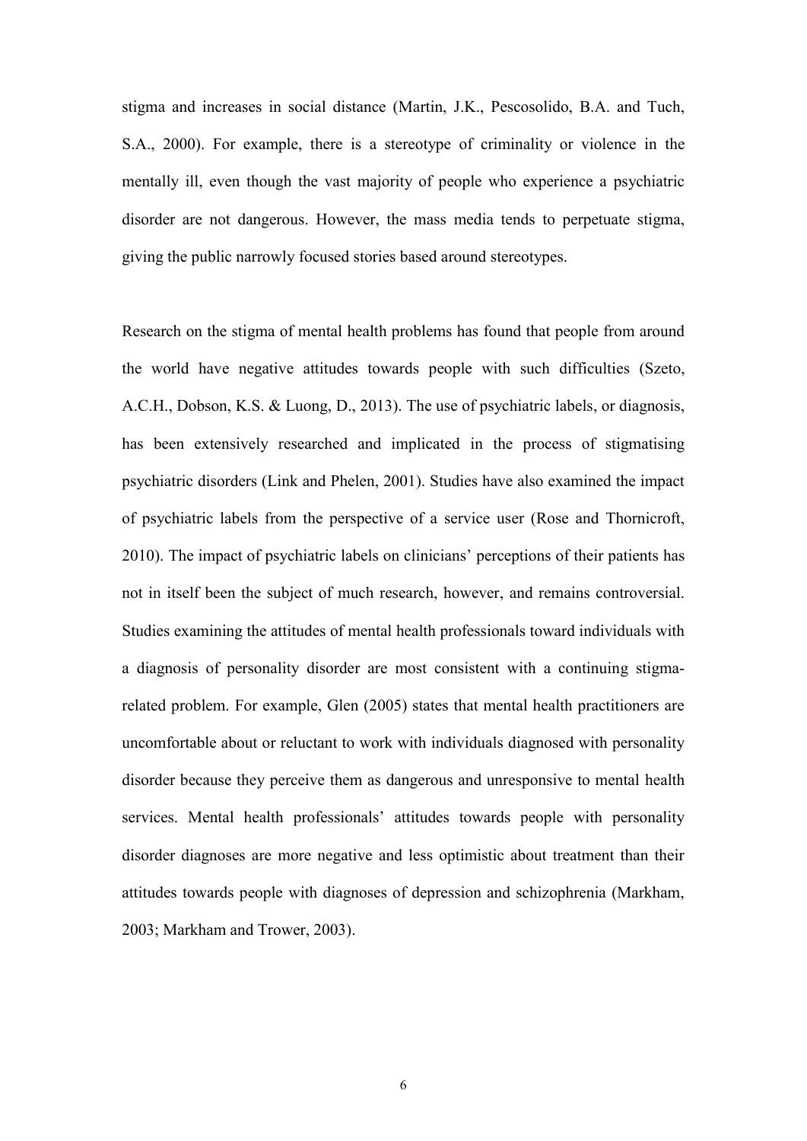stigma and increases in social distance (Martin, J.K., Pescosolido, B.A. and Tuch, S.A., 2000). For example, there is a stereotype of criminality or violence in the mentally ill, even though the vast majority of people who experience a psychiatric disorder are not dangerous. However, the mass media tends to perpetuate stigma, giving the public narrowly focused stories based around stereotypes.

Research on the stigma of mental health problems has found that people from around the world have negative attitudes towards people with such difficulties (Szeto, A.C.H., Dobson, K.S. & Luong, D., 2013). The use of psychiatric labels, or diagnosis, has been extensively researched and implicated in the process of stigmatising psychiatric disorders (Link and Phelen, 2001). Studies have also examined the impact of psychiatric labels from the perspective of a service user (Rose and Thornicroft, 2010). The impact of psychiatric labels on clinicians' perceptions of their patients has not in itself been the subject of much research, however, and remains controversial. Studies examining the attitudes of mental health professionals toward individuals with a diagnosis of personality disorder are most consistent with a continuing stigmarelated problem. For example, Glen (2005) states that mental health practitioners are uncomfortable about or reluctant to work with individuals diagnosed with personality disorder because they perceive them as dangerous and unresponsive to mental health services. Mental health professionals' attitudes towards people with personality disorder diagnoses are more negative and less optimistic about treatment than their attitudes towards people with diagnoses of depression and schizophrenia (Markham, 2003; Markham and Trower, 2003).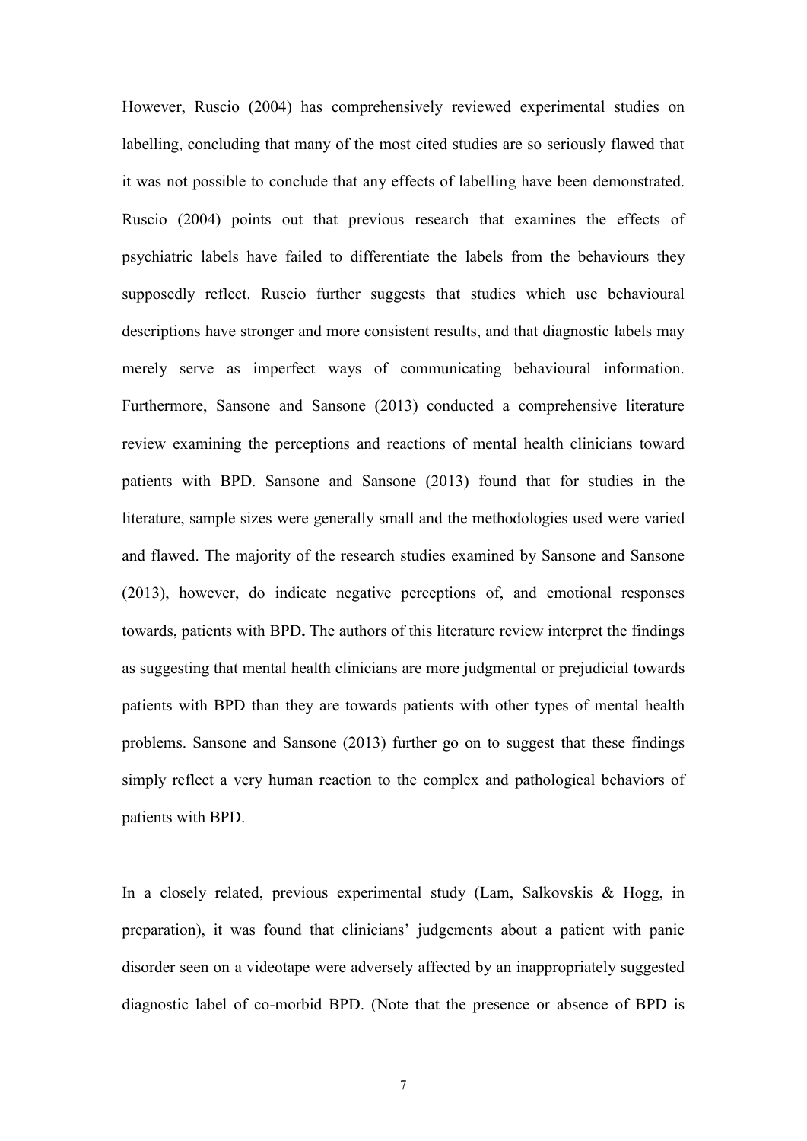However, Ruscio (2004) has comprehensively reviewed experimental studies on labelling, concluding that many of the most cited studies are so seriously flawed that it was not possible to conclude that any effects of labelling have been demonstrated. Ruscio (2004) points out that previous research that examines the effects of psychiatric labels have failed to differentiate the labels from the behaviours they supposedly reflect. Ruscio further suggests that studies which use behavioural descriptions have stronger and more consistent results, and that diagnostic labels may merely serve as imperfect ways of communicating behavioural information. Furthermore, Sansone and Sansone (2013) conducted a comprehensive literature review examining the perceptions and reactions of mental health clinicians toward patients with BPD. Sansone and Sansone (2013) found that for studies in the literature, sample sizes were generally small and the methodologies used were varied and flawed. The majority of the research studies examined by Sansone and Sansone (2013), however, do indicate negative perceptions of, and emotional responses towards, patients with BPD**.** The authors of this literature review interpret the findings as suggesting that mental health clinicians are more judgmental or prejudicial towards patients with BPD than they are towards patients with other types of mental health problems. Sansone and Sansone (2013) further go on to suggest that these findings simply reflect a very human reaction to the complex and pathological behaviors of patients with BPD.

In a closely related, previous experimental study (Lam, Salkovskis & Hogg, in preparation), it was found that clinicians' judgements about a patient with panic disorder seen on a videotape were adversely affected by an inappropriately suggested diagnostic label of co-morbid BPD. (Note that the presence or absence of BPD is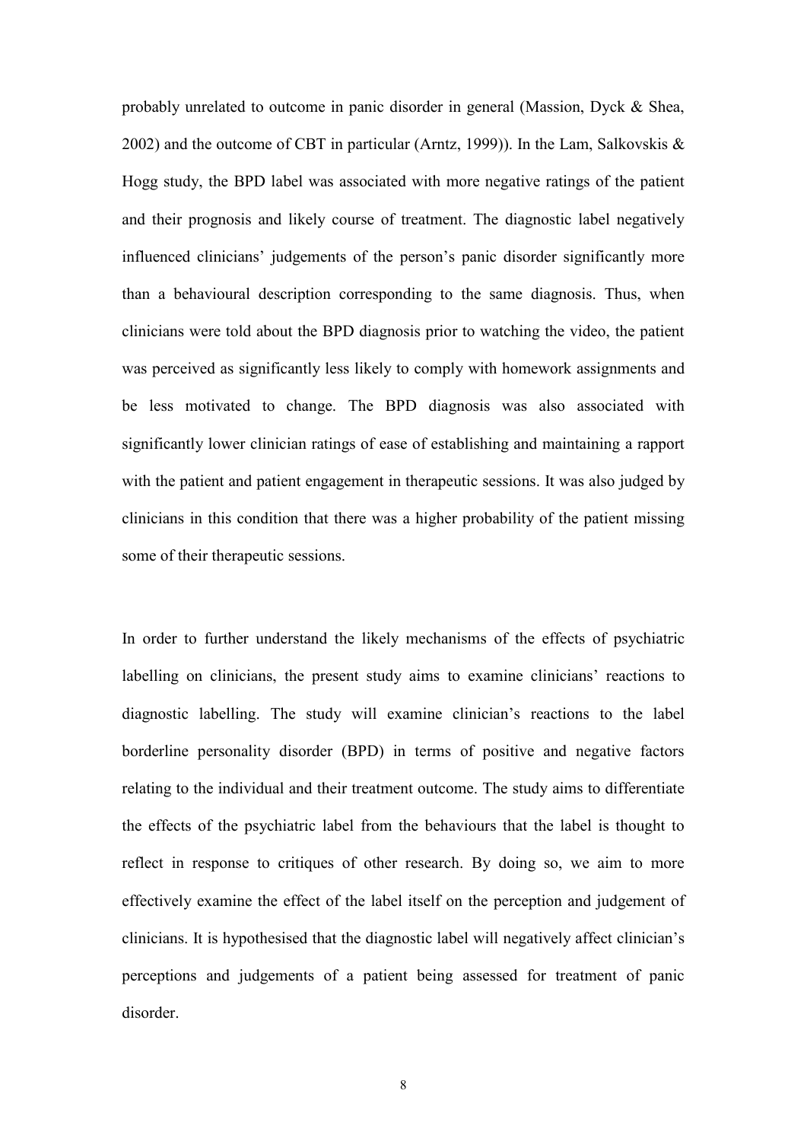probably unrelated to outcome in panic disorder in general (Massion, Dyck & Shea, 2002) and the outcome of CBT in particular (Arntz, 1999)). In the Lam, Salkovskis & Hogg study, the BPD label was associated with more negative ratings of the patient and their prognosis and likely course of treatment. The diagnostic label negatively influenced clinicians' judgements of the person's panic disorder significantly more than a behavioural description corresponding to the same diagnosis. Thus, when clinicians were told about the BPD diagnosis prior to watching the video, the patient was perceived as significantly less likely to comply with homework assignments and be less motivated to change. The BPD diagnosis was also associated with significantly lower clinician ratings of ease of establishing and maintaining a rapport with the patient and patient engagement in therapeutic sessions. It was also judged by clinicians in this condition that there was a higher probability of the patient missing some of their therapeutic sessions.

In order to further understand the likely mechanisms of the effects of psychiatric labelling on clinicians, the present study aims to examine clinicians' reactions to diagnostic labelling. The study will examine clinician's reactions to the label borderline personality disorder (BPD) in terms of positive and negative factors relating to the individual and their treatment outcome. The study aims to differentiate the effects of the psychiatric label from the behaviours that the label is thought to reflect in response to critiques of other research. By doing so, we aim to more effectively examine the effect of the label itself on the perception and judgement of clinicians. It is hypothesised that the diagnostic label will negatively affect clinician's perceptions and judgements of a patient being assessed for treatment of panic disorder.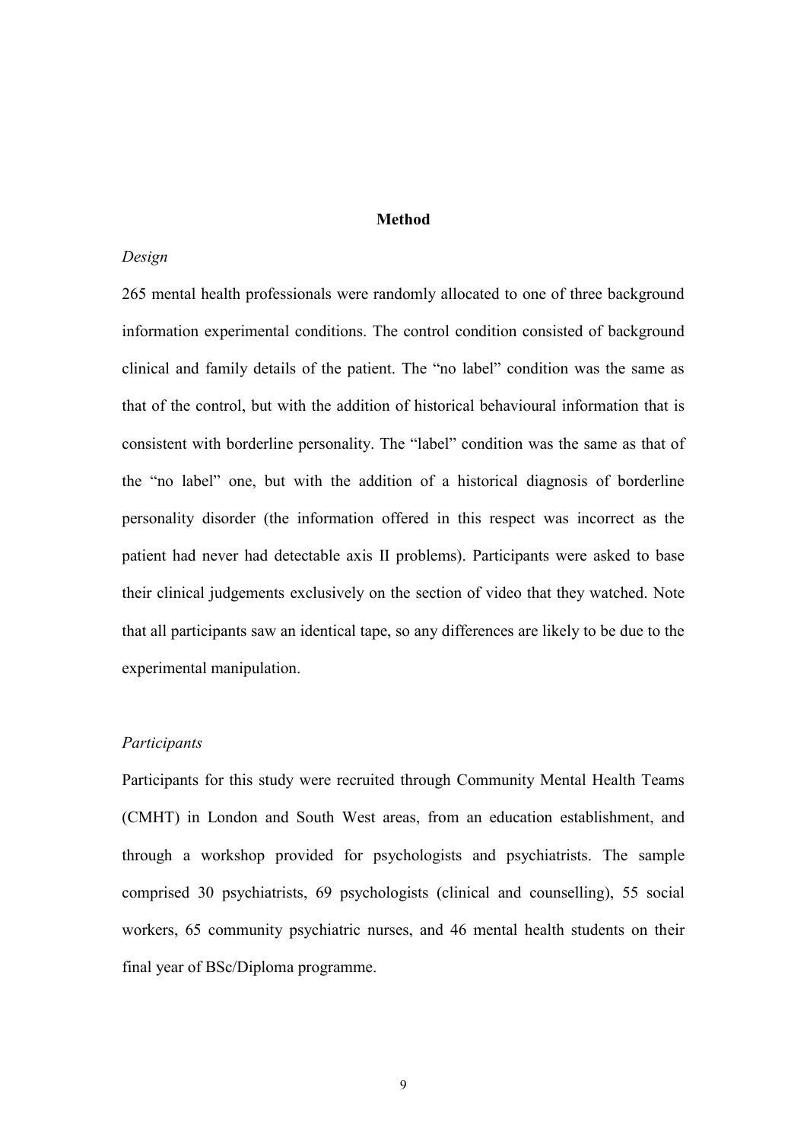## **Method**

#### *Design*

265 mental health professionals were randomly allocated to one of three background information experimental conditions. The control condition consisted of background clinical and family details of the patient. The "no label" condition was the same as that of the control, but with the addition of historical behavioural information that is consistent with borderline personality. The "label" condition was the same as that of the "no label" one, but with the addition of a historical diagnosis of borderline personality disorder (the information offered in this respect was incorrect as the patient had never had detectable axis II problems). Participants were asked to base their clinical judgements exclusively on the section of video that they watched. Note that all participants saw an identical tape, so any differences are likely to be due to the experimental manipulation.

#### *Participants*

Participants for this study were recruited through Community Mental Health Teams (CMHT) in London and South West areas, from an education establishment, and through a workshop provided for psychologists and psychiatrists. The sample comprised 30 psychiatrists, 69 psychologists (clinical and counselling), 55 social workers, 65 community psychiatric nurses, and 46 mental health students on their final year of BSc/Diploma programme.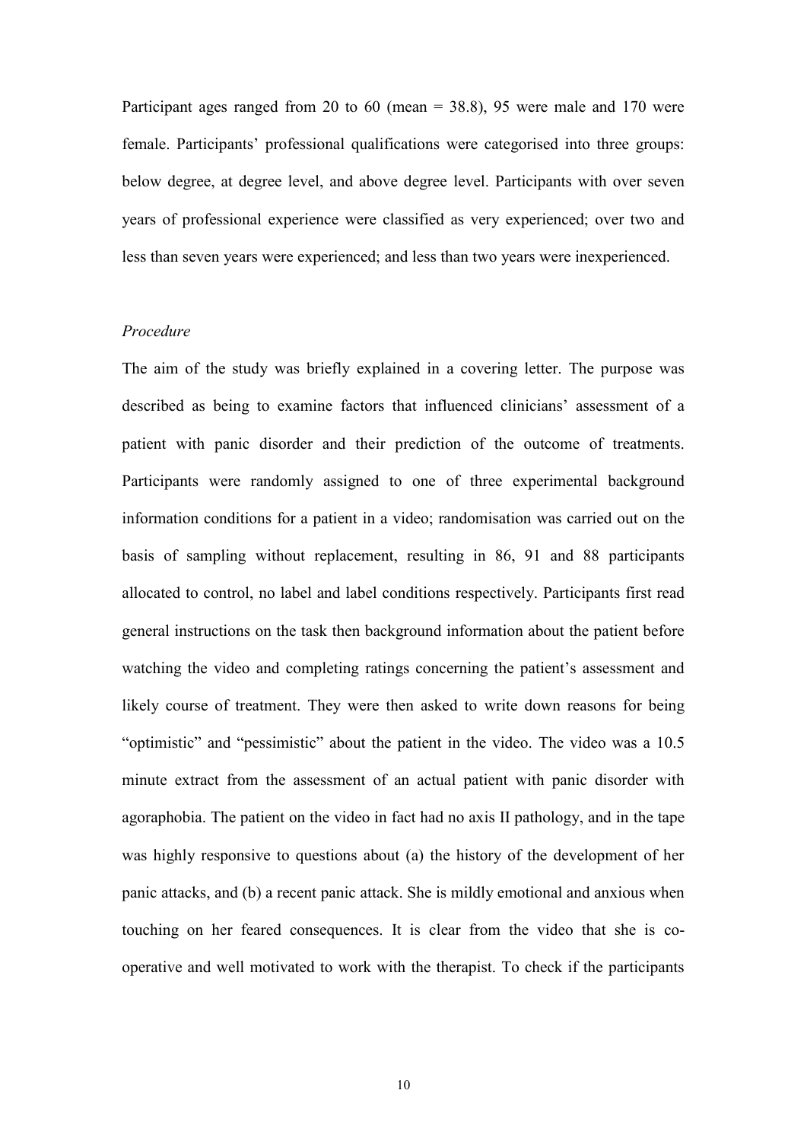Participant ages ranged from 20 to 60 (mean  $=$  38.8), 95 were male and 170 were female. Participants' professional qualifications were categorised into three groups: below degree, at degree level, and above degree level. Participants with over seven years of professional experience were classified as very experienced; over two and less than seven years were experienced; and less than two years were inexperienced.

#### *Procedure*

The aim of the study was briefly explained in a covering letter. The purpose was described as being to examine factors that influenced clinicians' assessment of a patient with panic disorder and their prediction of the outcome of treatments. Participants were randomly assigned to one of three experimental background information conditions for a patient in a video; randomisation was carried out on the basis of sampling without replacement, resulting in 86, 91 and 88 participants allocated to control, no label and label conditions respectively. Participants first read general instructions on the task then background information about the patient before watching the video and completing ratings concerning the patient's assessment and likely course of treatment. They were then asked to write down reasons for being "optimistic" and "pessimistic" about the patient in the video. The video was a 10.5 minute extract from the assessment of an actual patient with panic disorder with agoraphobia. The patient on the video in fact had no axis II pathology, and in the tape was highly responsive to questions about (a) the history of the development of her panic attacks, and (b) a recent panic attack. She is mildly emotional and anxious when touching on her feared consequences. It is clear from the video that she is cooperative and well motivated to work with the therapist. To check if the participants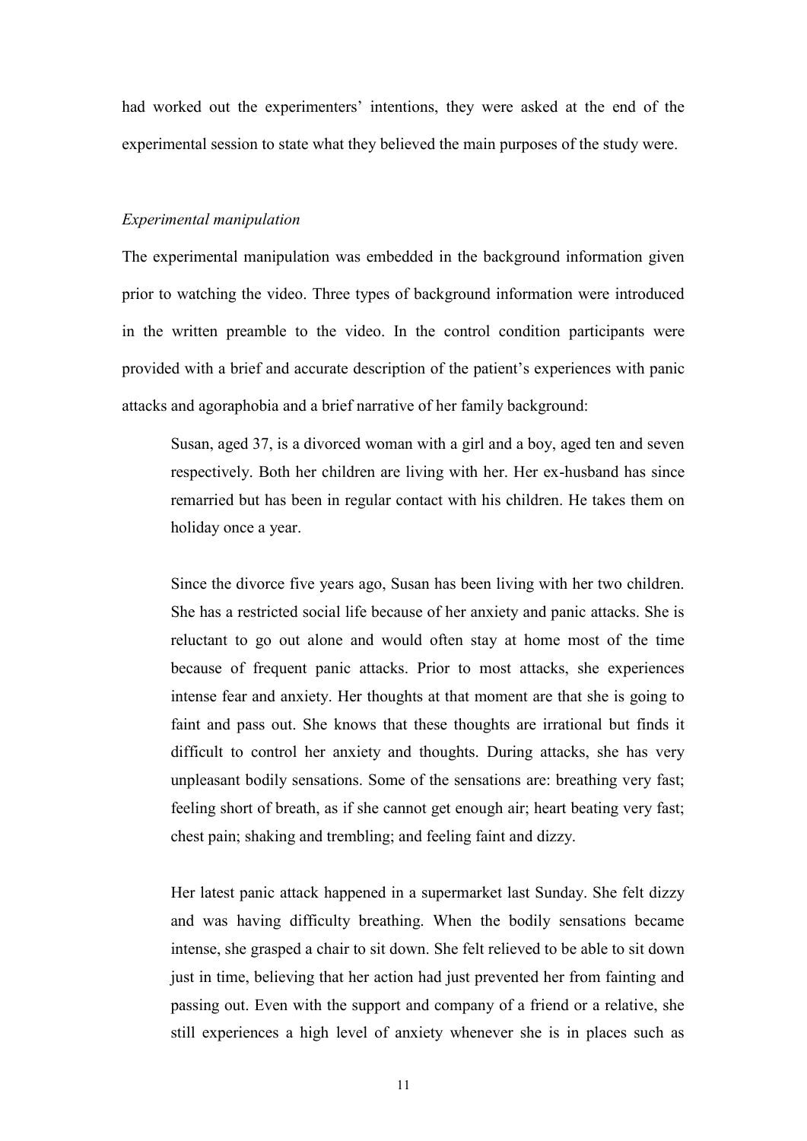had worked out the experimenters' intentions, they were asked at the end of the experimental session to state what they believed the main purposes of the study were.

#### *Experimental manipulation*

The experimental manipulation was embedded in the background information given prior to watching the video. Three types of background information were introduced in the written preamble to the video. In the control condition participants were provided with a brief and accurate description of the patient's experiences with panic attacks and agoraphobia and a brief narrative of her family background:

Susan, aged 37, is a divorced woman with a girl and a boy, aged ten and seven respectively. Both her children are living with her. Her ex-husband has since remarried but has been in regular contact with his children. He takes them on holiday once a year.

Since the divorce five years ago, Susan has been living with her two children. She has a restricted social life because of her anxiety and panic attacks. She is reluctant to go out alone and would often stay at home most of the time because of frequent panic attacks. Prior to most attacks, she experiences intense fear and anxiety. Her thoughts at that moment are that she is going to faint and pass out. She knows that these thoughts are irrational but finds it difficult to control her anxiety and thoughts. During attacks, she has very unpleasant bodily sensations. Some of the sensations are: breathing very fast; feeling short of breath, as if she cannot get enough air; heart beating very fast; chest pain; shaking and trembling; and feeling faint and dizzy.

Her latest panic attack happened in a supermarket last Sunday. She felt dizzy and was having difficulty breathing. When the bodily sensations became intense, she grasped a chair to sit down. She felt relieved to be able to sit down just in time, believing that her action had just prevented her from fainting and passing out. Even with the support and company of a friend or a relative, she still experiences a high level of anxiety whenever she is in places such as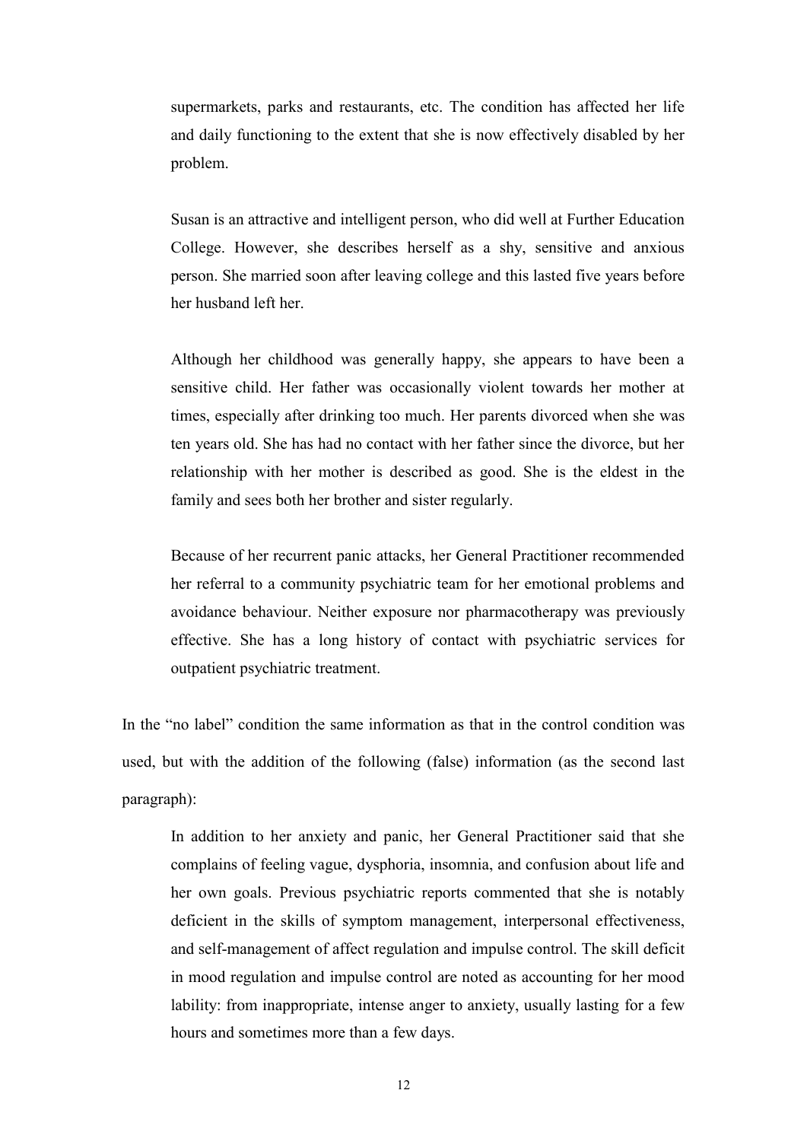supermarkets, parks and restaurants, etc. The condition has affected her life and daily functioning to the extent that she is now effectively disabled by her problem.

Susan is an attractive and intelligent person, who did well at Further Education College. However, she describes herself as a shy, sensitive and anxious person. She married soon after leaving college and this lasted five years before her husband left her.

Although her childhood was generally happy, she appears to have been a sensitive child. Her father was occasionally violent towards her mother at times, especially after drinking too much. Her parents divorced when she was ten years old. She has had no contact with her father since the divorce, but her relationship with her mother is described as good. She is the eldest in the family and sees both her brother and sister regularly.

Because of her recurrent panic attacks, her General Practitioner recommended her referral to a community psychiatric team for her emotional problems and avoidance behaviour. Neither exposure nor pharmacotherapy was previously effective. She has a long history of contact with psychiatric services for outpatient psychiatric treatment.

In the "no label" condition the same information as that in the control condition was used, but with the addition of the following (false) information (as the second last paragraph):

In addition to her anxiety and panic, her General Practitioner said that she complains of feeling vague, dysphoria, insomnia, and confusion about life and her own goals. Previous psychiatric reports commented that she is notably deficient in the skills of symptom management, interpersonal effectiveness, and self-management of affect regulation and impulse control. The skill deficit in mood regulation and impulse control are noted as accounting for her mood lability: from inappropriate, intense anger to anxiety, usually lasting for a few hours and sometimes more than a few days.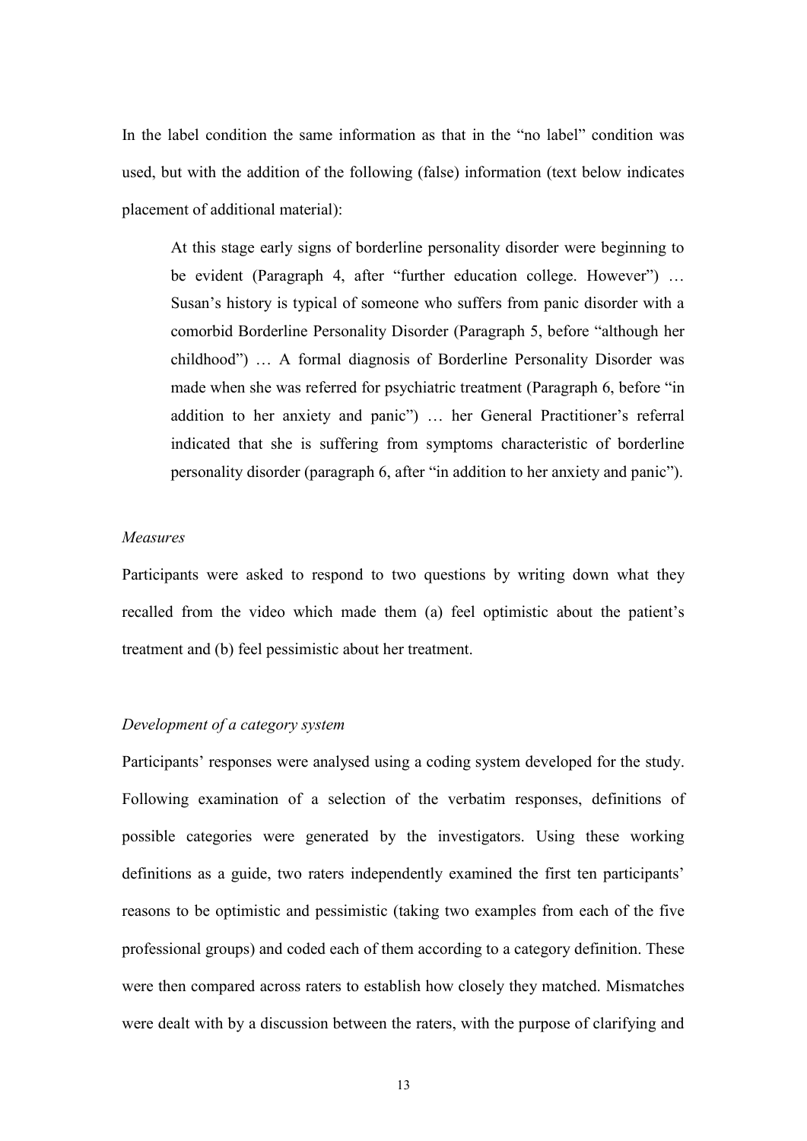In the label condition the same information as that in the "no label" condition was used, but with the addition of the following (false) information (text below indicates placement of additional material):

At this stage early signs of borderline personality disorder were beginning to be evident (Paragraph 4, after "further education college. However") … Susan's history is typical of someone who suffers from panic disorder with a comorbid Borderline Personality Disorder (Paragraph 5, before "although her childhood") … A formal diagnosis of Borderline Personality Disorder was made when she was referred for psychiatric treatment (Paragraph 6, before "in addition to her anxiety and panic") … her General Practitioner's referral indicated that she is suffering from symptoms characteristic of borderline personality disorder (paragraph 6, after "in addition to her anxiety and panic").

#### *Measures*

Participants were asked to respond to two questions by writing down what they recalled from the video which made them (a) feel optimistic about the patient's treatment and (b) feel pessimistic about her treatment.

## *Development of a category system*

Participants' responses were analysed using a coding system developed for the study. Following examination of a selection of the verbatim responses, definitions of possible categories were generated by the investigators. Using these working definitions as a guide, two raters independently examined the first ten participants' reasons to be optimistic and pessimistic (taking two examples from each of the five professional groups) and coded each of them according to a category definition. These were then compared across raters to establish how closely they matched. Mismatches were dealt with by a discussion between the raters, with the purpose of clarifying and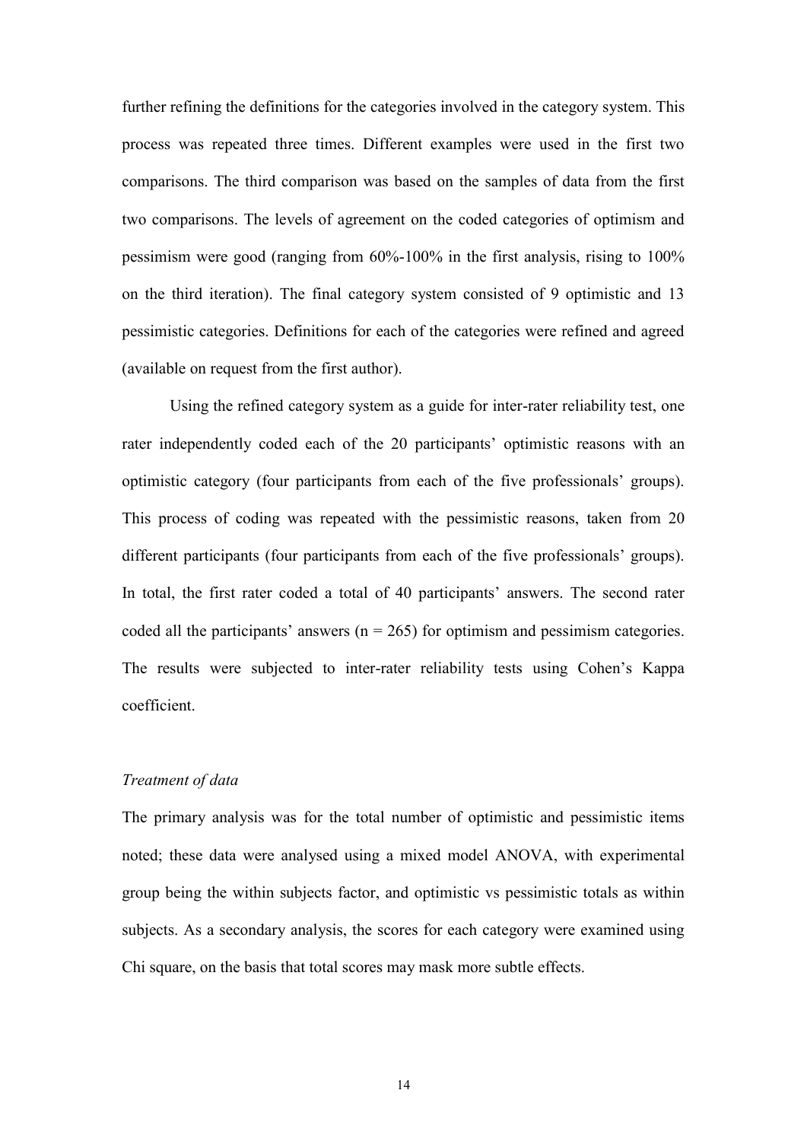further refining the definitions for the categories involved in the category system. This process was repeated three times. Different examples were used in the first two comparisons. The third comparison was based on the samples of data from the first two comparisons. The levels of agreement on the coded categories of optimism and pessimism were good (ranging from 60%-100% in the first analysis, rising to 100% on the third iteration). The final category system consisted of 9 optimistic and 13 pessimistic categories. Definitions for each of the categories were refined and agreed (available on request from the first author).

Using the refined category system as a guide for inter-rater reliability test, one rater independently coded each of the 20 participants' optimistic reasons with an optimistic category (four participants from each of the five professionals' groups). This process of coding was repeated with the pessimistic reasons, taken from 20 different participants (four participants from each of the five professionals' groups). In total, the first rater coded a total of 40 participants' answers. The second rater coded all the participants' answers ( $n = 265$ ) for optimism and pessimism categories. The results were subjected to inter-rater reliability tests using Cohen's Kappa coefficient.

### *Treatment of data*

The primary analysis was for the total number of optimistic and pessimistic items noted; these data were analysed using a mixed model ANOVA, with experimental group being the within subjects factor, and optimistic vs pessimistic totals as within subjects. As a secondary analysis, the scores for each category were examined using Chi square, on the basis that total scores may mask more subtle effects.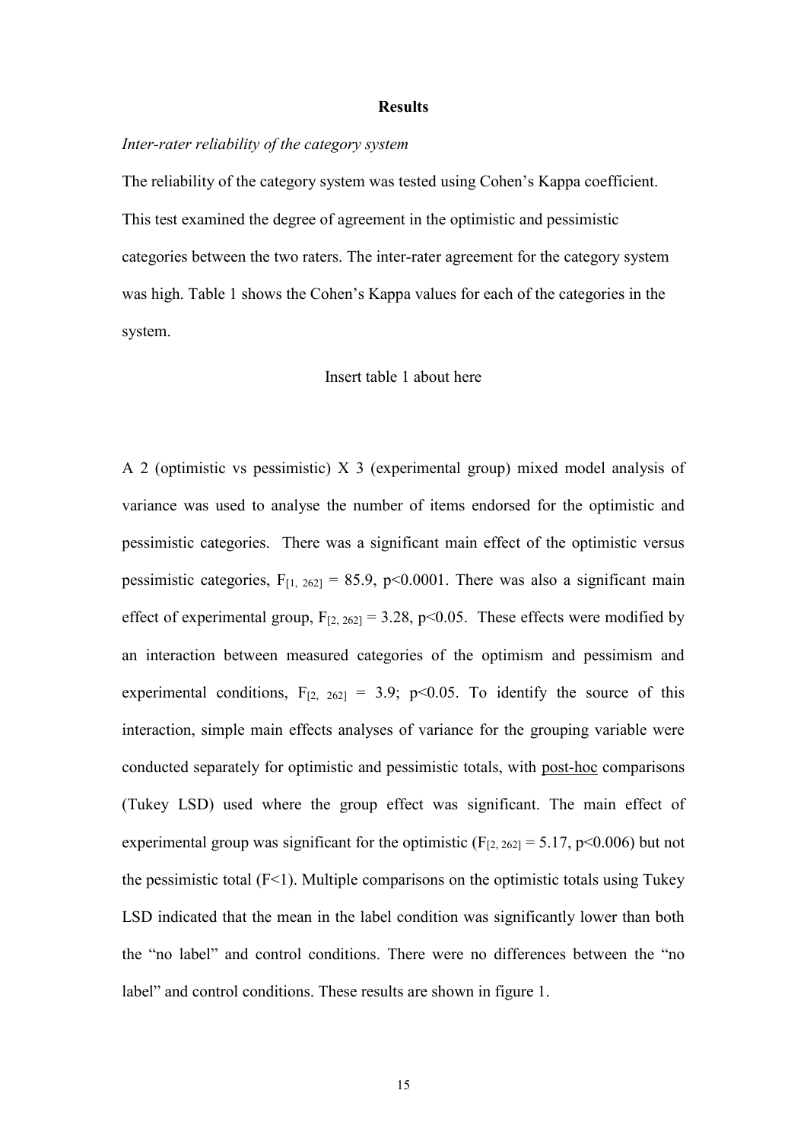#### **Results**

#### *Inter-rater reliability of the category system*

The reliability of the category system was tested using Cohen's Kappa coefficient. This test examined the degree of agreement in the optimistic and pessimistic categories between the two raters. The inter-rater agreement for the category system was high. Table 1 shows the Cohen's Kappa values for each of the categories in the system.

#### Insert table 1 about here

A 2 (optimistic vs pessimistic) X 3 (experimental group) mixed model analysis of variance was used to analyse the number of items endorsed for the optimistic and pessimistic categories. There was a significant main effect of the optimistic versus pessimistic categories,  $F_{[1, 262]} = 85.9$ , p<0.0001. There was also a significant main effect of experimental group,  $F_{[2, 262]} = 3.28$ , p<0.05. These effects were modified by an interaction between measured categories of the optimism and pessimism and experimental conditions,  $F_{[2, 262]} = 3.9$ ; p<0.05. To identify the source of this interaction, simple main effects analyses of variance for the grouping variable were conducted separately for optimistic and pessimistic totals, with post-hoc comparisons (Tukey LSD) used where the group effect was significant. The main effect of experimental group was significant for the optimistic ( $F_{[2, 262]} = 5.17$ , p<0.006) but not the pessimistic total  $(F<1)$ . Multiple comparisons on the optimistic totals using Tukey LSD indicated that the mean in the label condition was significantly lower than both the "no label" and control conditions. There were no differences between the "no label" and control conditions. These results are shown in figure 1.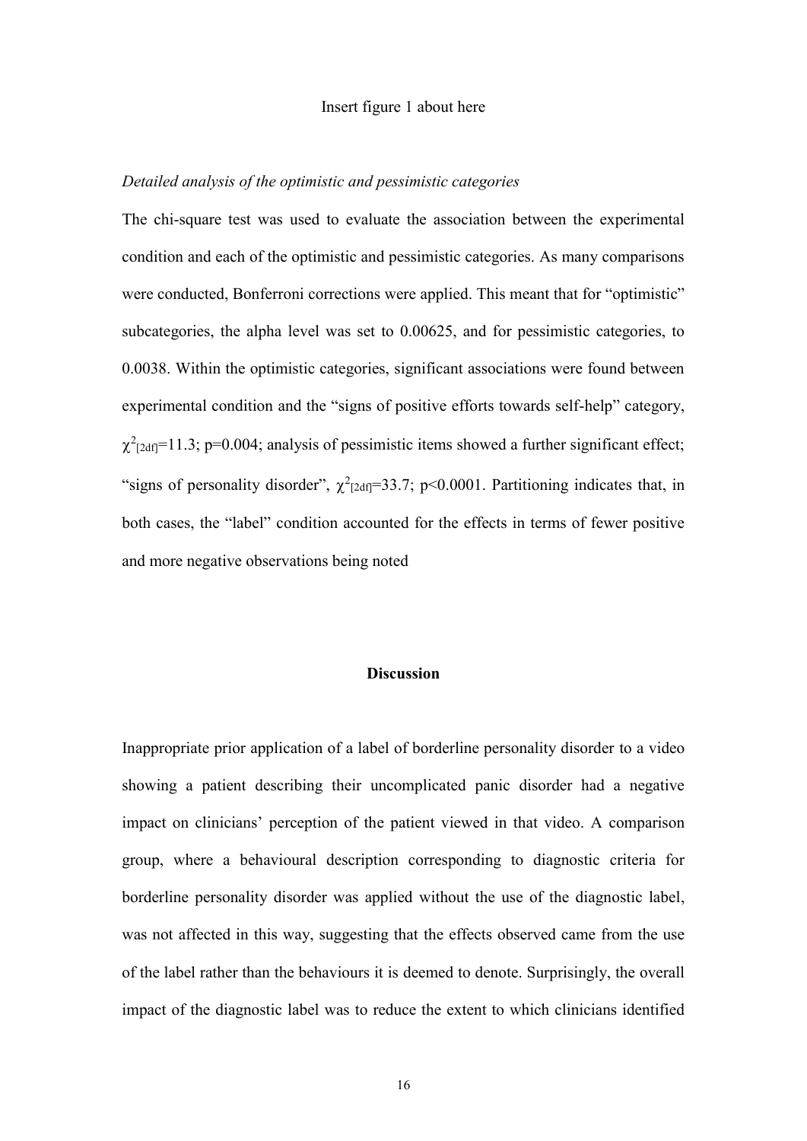#### Insert figure 1 about here

#### *Detailed analysis of the optimistic and pessimistic categories*

The chi-square test was used to evaluate the association between the experimental condition and each of the optimistic and pessimistic categories. As many comparisons were conducted, Bonferroni corrections were applied. This meant that for "optimistic" subcategories, the alpha level was set to 0.00625, and for pessimistic categories, to 0.0038. Within the optimistic categories, significant associations were found between experimental condition and the "signs of positive efforts towards self-help" category,  $\chi^2$ [2df]=11.3; p=0.004; analysis of pessimistic items showed a further significant effect; "signs of personality disorder",  $\chi^2$ <sub>[2df]</sub>=33.7; p<0.0001. Partitioning indicates that, in both cases, the "label" condition accounted for the effects in terms of fewer positive and more negative observations being noted

#### **Discussion**

Inappropriate prior application of a label of borderline personality disorder to a video showing a patient describing their uncomplicated panic disorder had a negative impact on clinicians' perception of the patient viewed in that video. A comparison group, where a behavioural description corresponding to diagnostic criteria for borderline personality disorder was applied without the use of the diagnostic label, was not affected in this way, suggesting that the effects observed came from the use of the label rather than the behaviours it is deemed to denote. Surprisingly, the overall impact of the diagnostic label was to reduce the extent to which clinicians identified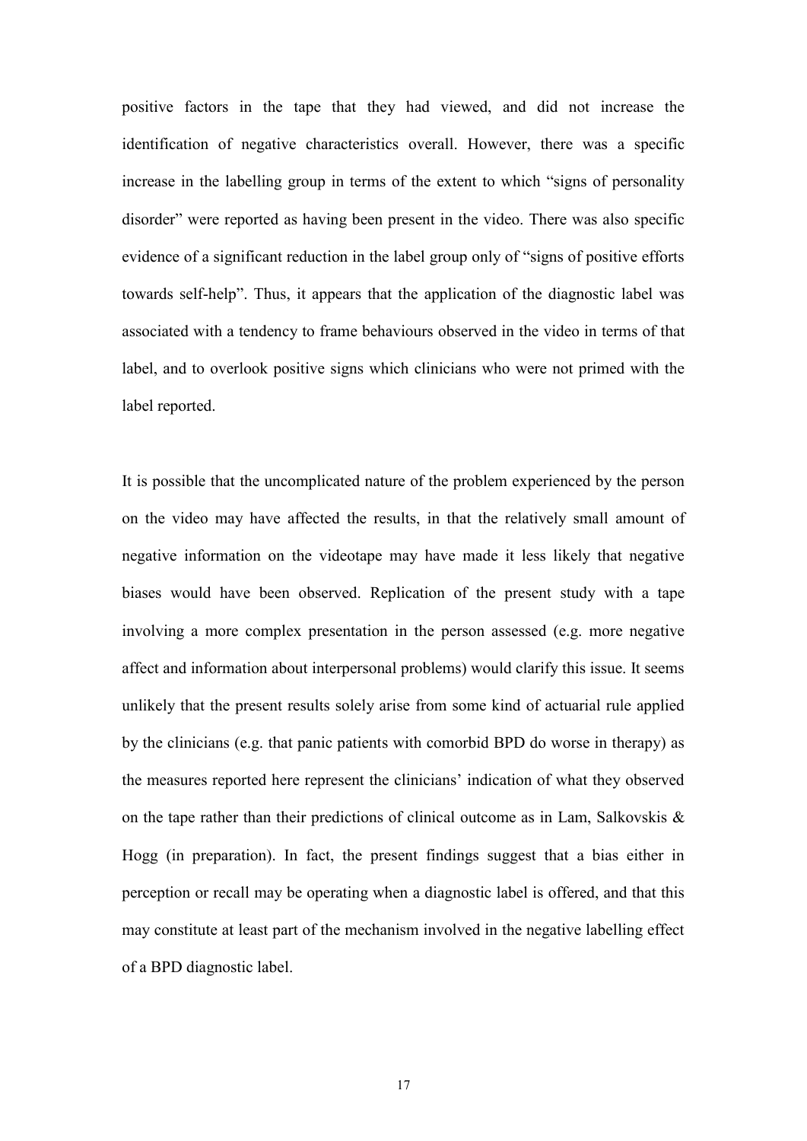positive factors in the tape that they had viewed, and did not increase the identification of negative characteristics overall. However, there was a specific increase in the labelling group in terms of the extent to which "signs of personality disorder" were reported as having been present in the video. There was also specific evidence of a significant reduction in the label group only of "signs of positive efforts towards self-help". Thus, it appears that the application of the diagnostic label was associated with a tendency to frame behaviours observed in the video in terms of that label, and to overlook positive signs which clinicians who were not primed with the label reported.

It is possible that the uncomplicated nature of the problem experienced by the person on the video may have affected the results, in that the relatively small amount of negative information on the videotape may have made it less likely that negative biases would have been observed. Replication of the present study with a tape involving a more complex presentation in the person assessed (e.g. more negative affect and information about interpersonal problems) would clarify this issue. It seems unlikely that the present results solely arise from some kind of actuarial rule applied by the clinicians (e.g. that panic patients with comorbid BPD do worse in therapy) as the measures reported here represent the clinicians' indication of what they observed on the tape rather than their predictions of clinical outcome as in Lam, Salkovskis & Hogg (in preparation). In fact, the present findings suggest that a bias either in perception or recall may be operating when a diagnostic label is offered, and that this may constitute at least part of the mechanism involved in the negative labelling effect of a BPD diagnostic label.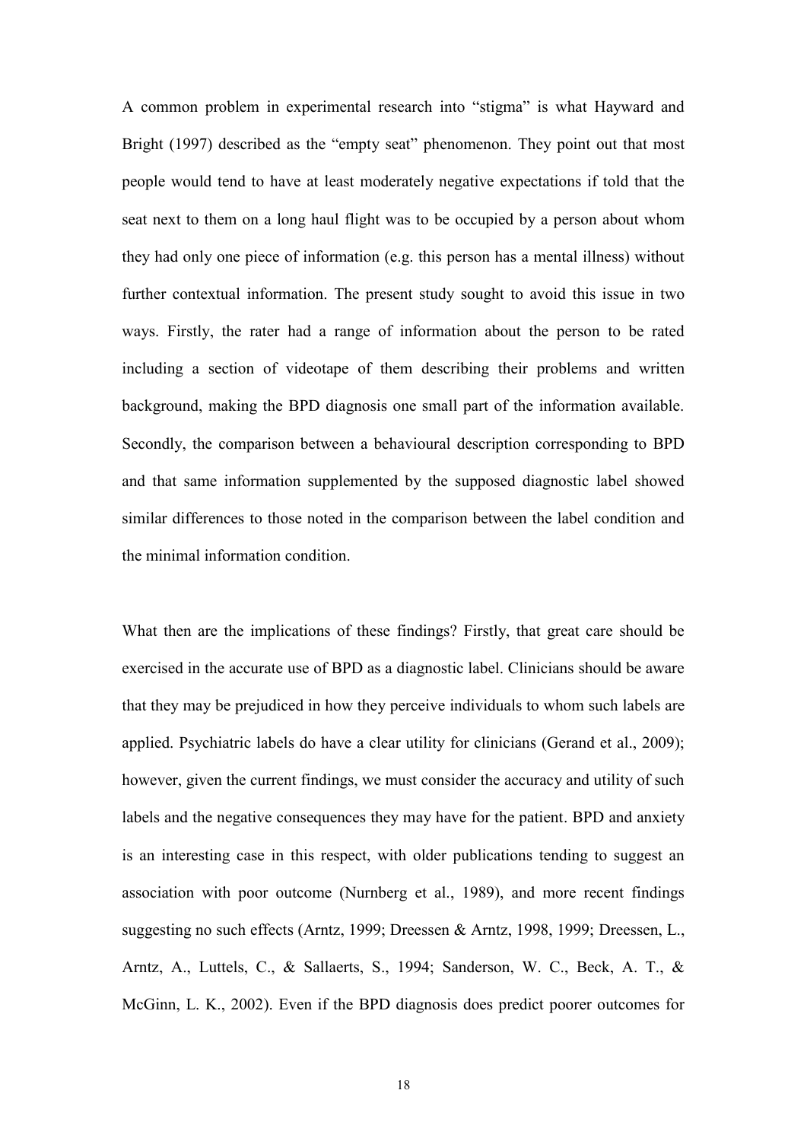A common problem in experimental research into "stigma" is what Hayward and Bright (1997) described as the "empty seat" phenomenon. They point out that most people would tend to have at least moderately negative expectations if told that the seat next to them on a long haul flight was to be occupied by a person about whom they had only one piece of information (e.g. this person has a mental illness) without further contextual information. The present study sought to avoid this issue in two ways. Firstly, the rater had a range of information about the person to be rated including a section of videotape of them describing their problems and written background, making the BPD diagnosis one small part of the information available. Secondly, the comparison between a behavioural description corresponding to BPD and that same information supplemented by the supposed diagnostic label showed similar differences to those noted in the comparison between the label condition and the minimal information condition.

What then are the implications of these findings? Firstly, that great care should be exercised in the accurate use of BPD as a diagnostic label. Clinicians should be aware that they may be prejudiced in how they perceive individuals to whom such labels are applied. Psychiatric labels do have a clear utility for clinicians (Gerand et al., 2009); however, given the current findings, we must consider the accuracy and utility of such labels and the negative consequences they may have for the patient. BPD and anxiety is an interesting case in this respect, with older publications tending to suggest an association with poor outcome (Nurnberg et al., 1989), and more recent findings suggesting no such effects (Arntz, 1999; Dreessen & Arntz, 1998, 1999; Dreessen, L., Arntz, A., Luttels, C., & Sallaerts, S., 1994; Sanderson, W. C., Beck, A. T., & McGinn, L. K., 2002). Even if the BPD diagnosis does predict poorer outcomes for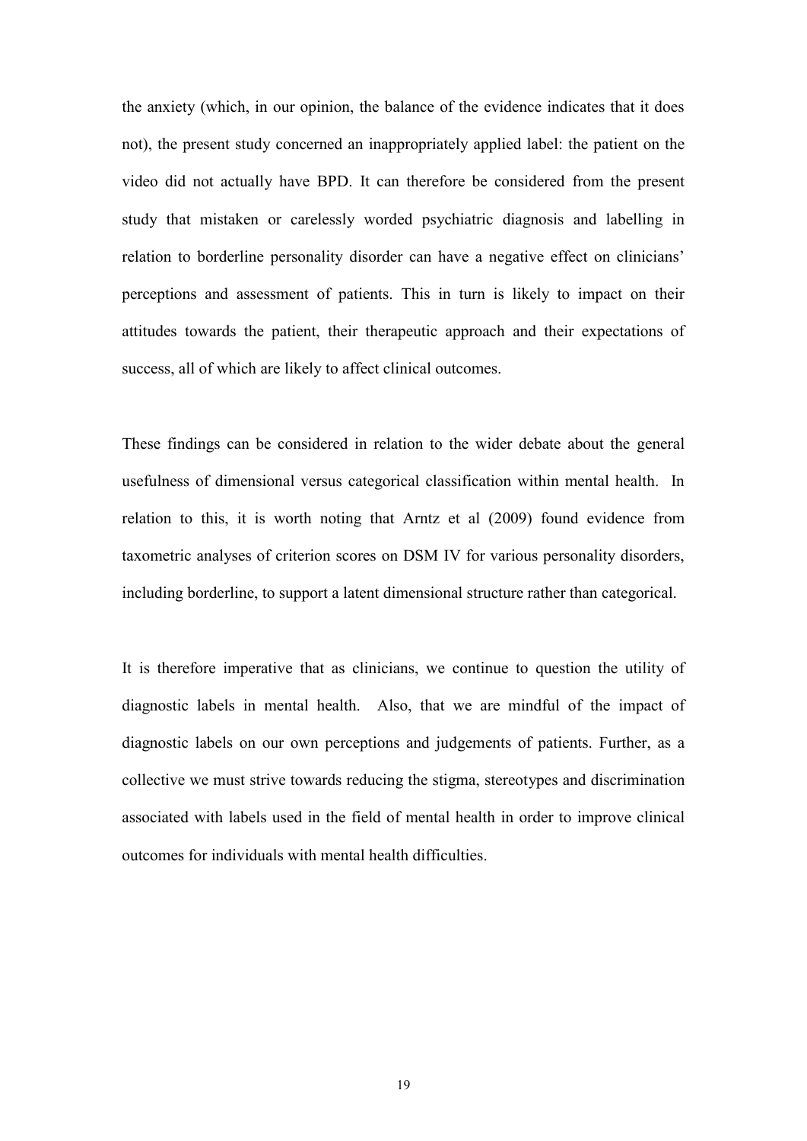the anxiety (which, in our opinion, the balance of the evidence indicates that it does not), the present study concerned an inappropriately applied label: the patient on the video did not actually have BPD. It can therefore be considered from the present study that mistaken or carelessly worded psychiatric diagnosis and labelling in relation to borderline personality disorder can have a negative effect on clinicians' perceptions and assessment of patients. This in turn is likely to impact on their attitudes towards the patient, their therapeutic approach and their expectations of success, all of which are likely to affect clinical outcomes.

These findings can be considered in relation to the wider debate about the general usefulness of dimensional versus categorical classification within mental health. In relation to this, it is worth noting that Arntz et al (2009) found evidence from taxometric analyses of criterion scores on DSM IV for various personality disorders, including borderline, to support a latent dimensional structure rather than categorical.

It is therefore imperative that as clinicians, we continue to question the utility of diagnostic labels in mental health. Also, that we are mindful of the impact of diagnostic labels on our own perceptions and judgements of patients. Further, as a collective we must strive towards reducing the stigma, stereotypes and discrimination associated with labels used in the field of mental health in order to improve clinical outcomes for individuals with mental health difficulties.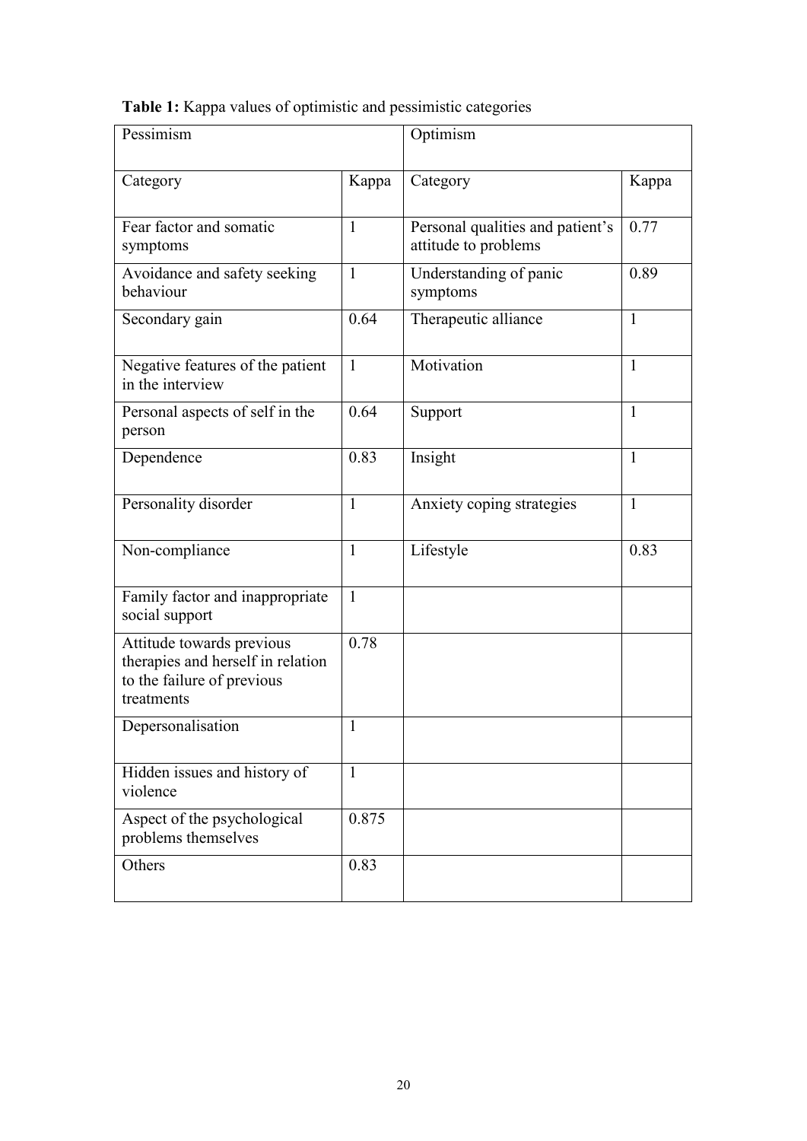|  |  |  | Table 1: Kappa values of optimistic and pessimistic categories |
|--|--|--|----------------------------------------------------------------|
|  |  |  |                                                                |

| Pessimism                                                                                                  |              | Optimism                                                 |              |  |
|------------------------------------------------------------------------------------------------------------|--------------|----------------------------------------------------------|--------------|--|
| Category                                                                                                   | Kappa        | Category                                                 | Kappa        |  |
| Fear factor and somatic<br>symptoms                                                                        | 1            | Personal qualities and patient's<br>attitude to problems | 0.77         |  |
| Avoidance and safety seeking<br>behaviour                                                                  | $\mathbf{1}$ | Understanding of panic<br>symptoms                       | 0.89         |  |
| Secondary gain                                                                                             | 0.64         | Therapeutic alliance                                     | $\mathbf{1}$ |  |
| Negative features of the patient<br>in the interview                                                       | $\mathbf{1}$ | Motivation                                               | 1            |  |
| Personal aspects of self in the<br>person                                                                  | 0.64         | Support                                                  | 1            |  |
| Dependence                                                                                                 | 0.83         | Insight                                                  | $\mathbf{1}$ |  |
| Personality disorder                                                                                       | 1            | Anxiety coping strategies                                | 1            |  |
| Non-compliance                                                                                             | 1            | Lifestyle                                                | 0.83         |  |
| Family factor and inappropriate<br>social support                                                          | 1            |                                                          |              |  |
| Attitude towards previous<br>therapies and herself in relation<br>to the failure of previous<br>treatments | 0.78         |                                                          |              |  |
| Depersonalisation                                                                                          | 1            |                                                          |              |  |
| Hidden issues and history of<br>violence                                                                   | $\mathbf{1}$ |                                                          |              |  |
| Aspect of the psychological<br>problems themselves                                                         | 0.875        |                                                          |              |  |
| Others                                                                                                     | 0.83         |                                                          |              |  |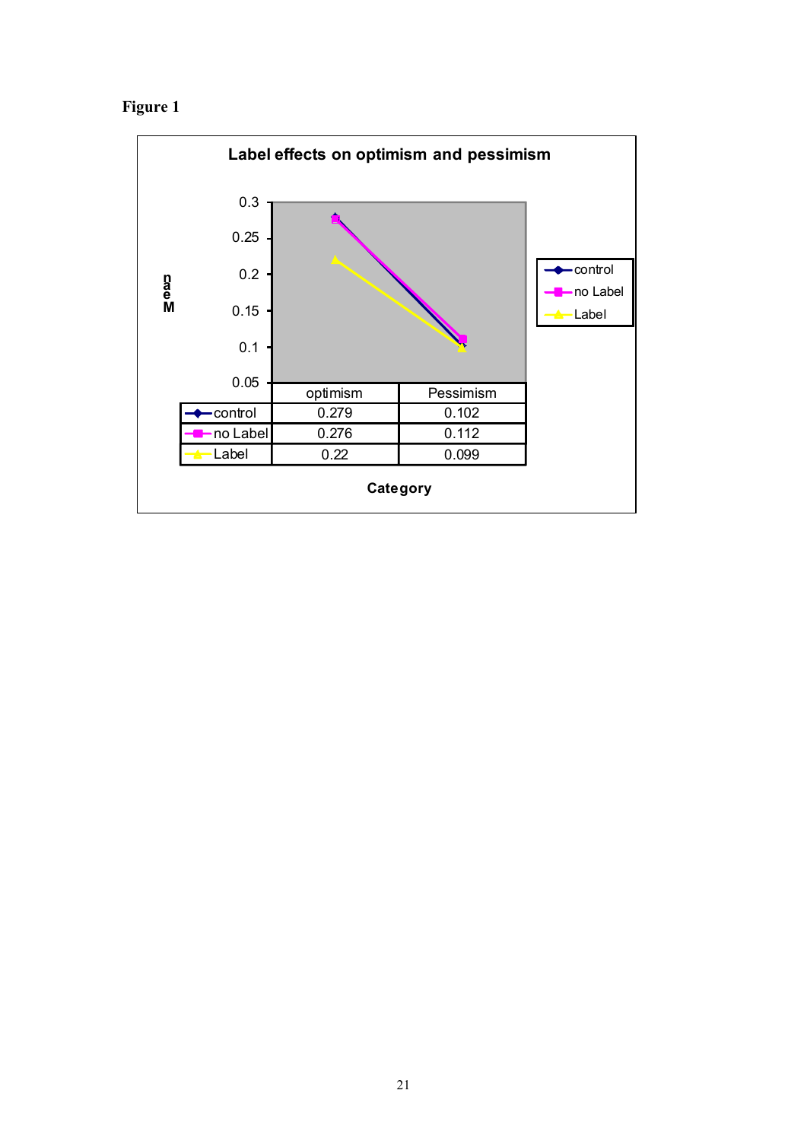# **Figure 1**

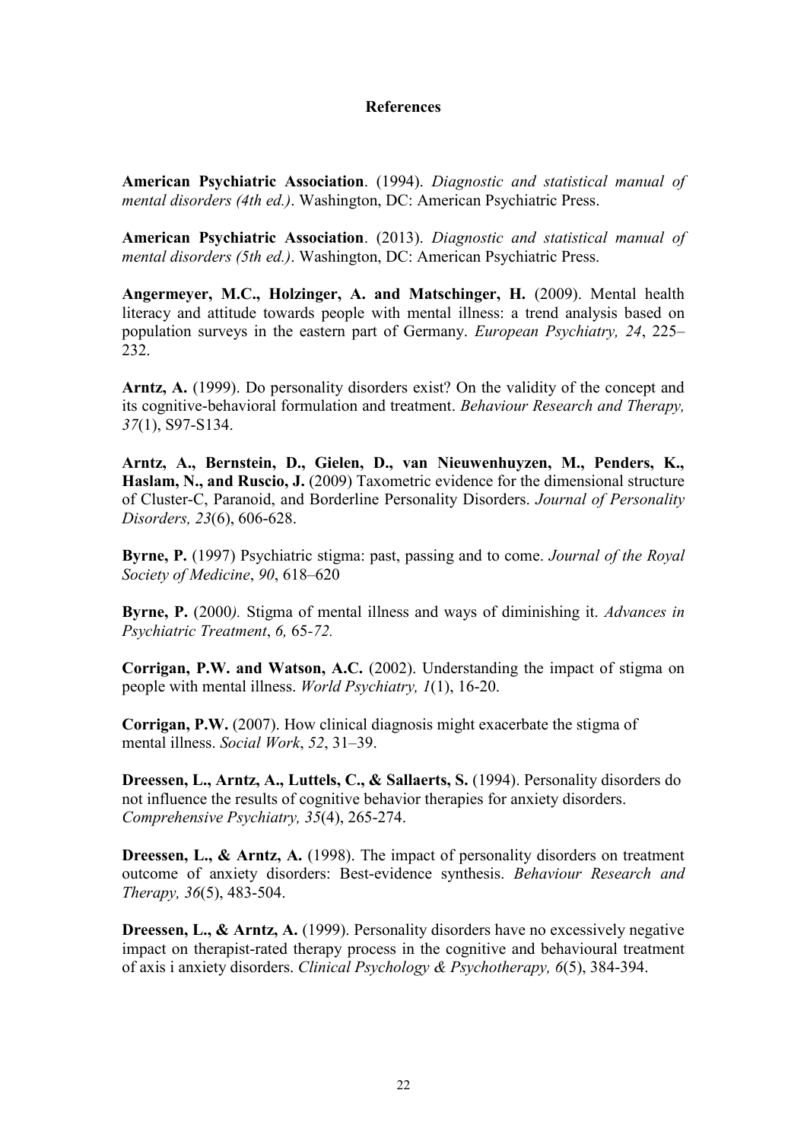## **References**

**American Psychiatric Association**. (1994). *Diagnostic and statistical manual of mental disorders (4th ed.)*. Washington, DC: American Psychiatric Press.

**American Psychiatric Association**. (2013). *Diagnostic and statistical manual of mental disorders (5th ed.)*. Washington, DC: American Psychiatric Press.

**Angermeyer, M.C., Holzinger, A. and Matschinger, H.** (2009). Mental health literacy and attitude towards people with mental illness: a trend analysis based on population surveys in the eastern part of Germany. *European Psychiatry, 24*, 225– 232.

**Arntz, A.** (1999). Do personality disorders exist? On the validity of the concept and its cognitive-behavioral formulation and treatment. *Behaviour Research and Therapy, 37*(1), S97-S134.

**Arntz, A., Bernstein, D., Gielen, D., van Nieuwenhuyzen, M., Penders, K., Haslam, N., and Ruscio, J.** (2009) Taxometric evidence for the dimensional structure of Cluster-C, Paranoid, and Borderline Personality Disorders. *Journal of Personality Disorders, 23*(6), 606-628.

**Byrne, P.** (1997) Psychiatric stigma: past, passing and to come. *Journal of the Royal Society of Medicine*, *90*, 618–620

**Byrne, P.** (2000*).* Stigma of mental illness and ways of diminishing it. *Advances in Psychiatric Treatment*, *6,* 65*-72.*

**Corrigan, P.W. and Watson, A.C.** (2002). Understanding the impact of stigma on people with mental illness. *World Psychiatry, 1*(1), 16-20.

**Corrigan, P.W.** (2007). How clinical diagnosis might exacerbate the stigma of mental illness. *Social Work*, *52*, 31–39.

**Dreessen, L., Arntz, A., Luttels, C., & Sallaerts, S.** (1994). Personality disorders do not influence the results of cognitive behavior therapies for anxiety disorders. *Comprehensive Psychiatry, 35*(4), 265-274.

**Dreessen, L., & Arntz, A.** (1998). The impact of personality disorders on treatment outcome of anxiety disorders: Best-evidence synthesis. *Behaviour Research and Therapy, 36*(5), 483-504.

**Dreessen, L., & Arntz, A.** (1999). Personality disorders have no excessively negative impact on therapist-rated therapy process in the cognitive and behavioural treatment of axis i anxiety disorders. *Clinical Psychology & Psychotherapy, 6*(5), 384-394.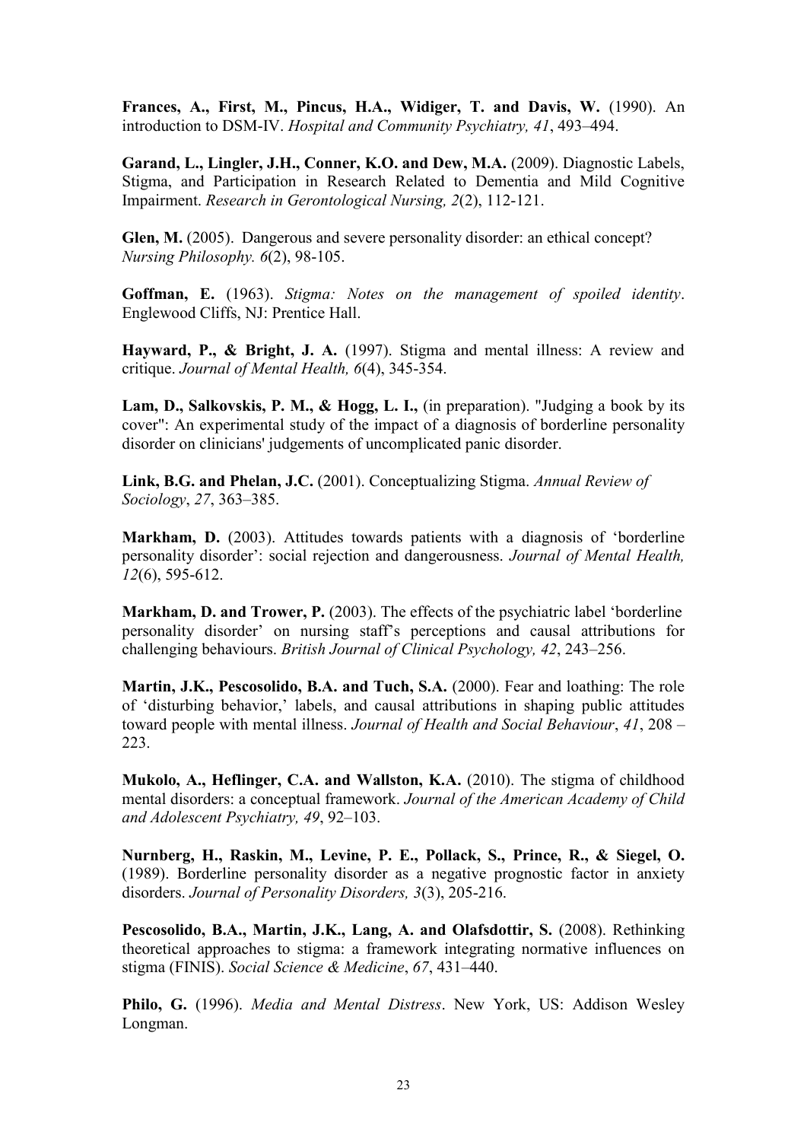**Frances, A., First, M., Pincus, H.A., Widiger, T. and Davis, W.** (1990). An introduction to DSM-IV. *Hospital and Community Psychiatry, 41*, 493–494.

Garand, L., Lingler, J.H., Conner, K.O. and Dew, M.A. (2009). Diagnostic Labels, Stigma, and Participation in Research Related to Dementia and Mild Cognitive Impairment. *Research in Gerontological Nursing, 2*(2), 112-121.

**Glen, M.** (2005). Dangerous and severe personality disorder: an ethical concept? *Nursing Philosophy. 6*(2), 98-105.

**Goffman, E.** (1963). *Stigma: Notes on the management of spoiled identity*. Englewood Cliffs, NJ: Prentice Hall.

**Hayward, P., & Bright, J. A.** (1997). Stigma and mental illness: A review and critique. *Journal of Mental Health, 6*(4), 345-354.

**Lam, D., Salkovskis, P. M., & Hogg, L. I.,** (in preparation). "Judging a book by its cover": An experimental study of the impact of a diagnosis of borderline personality disorder on clinicians' judgements of uncomplicated panic disorder.

**Link, B.G. and Phelan, J.C.** (2001). Conceptualizing Stigma. *Annual Review of Sociology*, *27*, 363–385.

**Markham, D.** (2003). Attitudes towards patients with a diagnosis of 'borderline personality disorder': social rejection and dangerousness. *Journal of Mental Health, 12*(6), 595-612.

**Markham, D. and Trower, P.** (2003). The effects of the psychiatric label 'borderline personality disorder' on nursing staff's perceptions and causal attributions for challenging behaviours. *British Journal of Clinical Psychology, 42*, 243–256.

**Martin, J.K., Pescosolido, B.A. and Tuch, S.A.** (2000). Fear and loathing: The role of 'disturbing behavior,' labels, and causal attributions in shaping public attitudes toward people with mental illness. *Journal of Health and Social Behaviour*, *41*, 208 – 223.

**[Mukolo, A., Heflinger, C.A. and Wallston, K.A.](http://www.sciencedirect.com/science/article/pii/S0165032712008488#bib33)** (2010). The stigma of childhood mental disorders: a conceptual framework. *Journal of the American Academy of Child and Adolescent Psychiatry, 49*, 92–103.

**Nurnberg, H., Raskin, M., Levine, P. E., Pollack, S., Prince, R., & Siegel, O.** (1989). Borderline personality disorder as a negative prognostic factor in anxiety disorders. *Journal of Personality Disorders, 3*(3), 205-216.

**Pescosolido, B.A., Martin, J.K., Lang, A. and Olafsdottir, S.** (2008). Rethinking theoretical approaches to stigma: a framework integrating normative influences on stigma (FINIS). *Social Science & Medicine*, *67*, 431–440.

**Philo, G.** (1996). *Media and Mental Distress*. New York, US: Addison Wesley Longman.